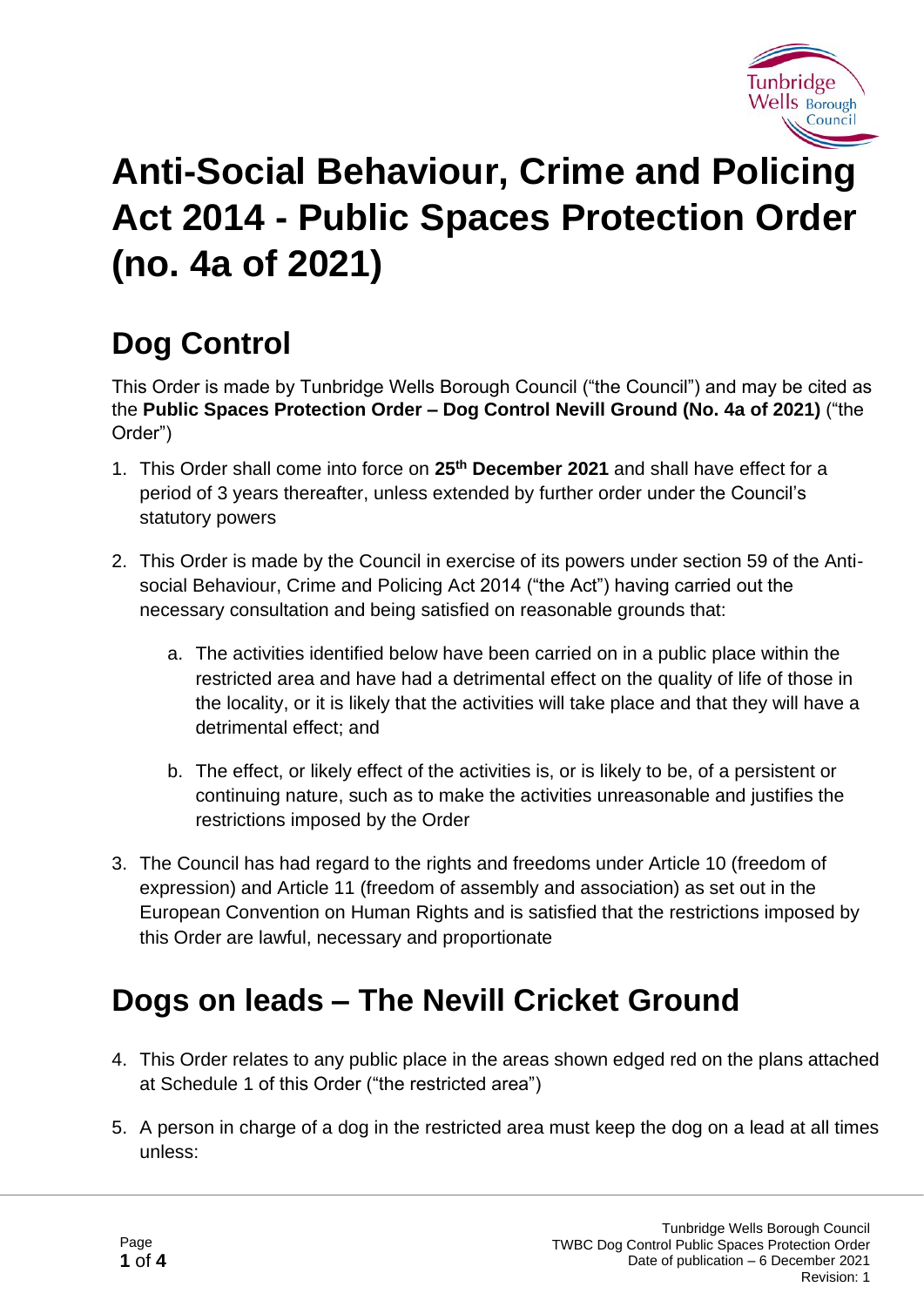

# **Anti-Social Behaviour, Crime and Policing Act 2014 - Public Spaces Protection Order (no. 4a of 2021)**

# **Dog Control**

This Order is made by Tunbridge Wells Borough Council ("the Council") and may be cited as the **Public Spaces Protection Order – Dog Control Nevill Ground (No. 4a of 2021)** ("the Order")

- 1. This Order shall come into force on **25th December 2021** and shall have effect for a period of 3 years thereafter, unless extended by further order under the Council's statutory powers
- 2. This Order is made by the Council in exercise of its powers under section 59 of the Antisocial Behaviour, Crime and Policing Act 2014 ("the Act") having carried out the necessary consultation and being satisfied on reasonable grounds that:
	- a. The activities identified below have been carried on in a public place within the restricted area and have had a detrimental effect on the quality of life of those in the locality, or it is likely that the activities will take place and that they will have a detrimental effect; and
	- b. The effect, or likely effect of the activities is, or is likely to be, of a persistent or continuing nature, such as to make the activities unreasonable and justifies the restrictions imposed by the Order
- 3. The Council has had regard to the rights and freedoms under Article 10 (freedom of expression) and Article 11 (freedom of assembly and association) as set out in the European Convention on Human Rights and is satisfied that the restrictions imposed by this Order are lawful, necessary and proportionate

## **Dogs on leads – The Nevill Cricket Ground**

- 4. This Order relates to any public place in the areas shown edged red on the plans attached at Schedule 1 of this Order ("the restricted area")
- 5. A person in charge of a dog in the restricted area must keep the dog on a lead at all times unless: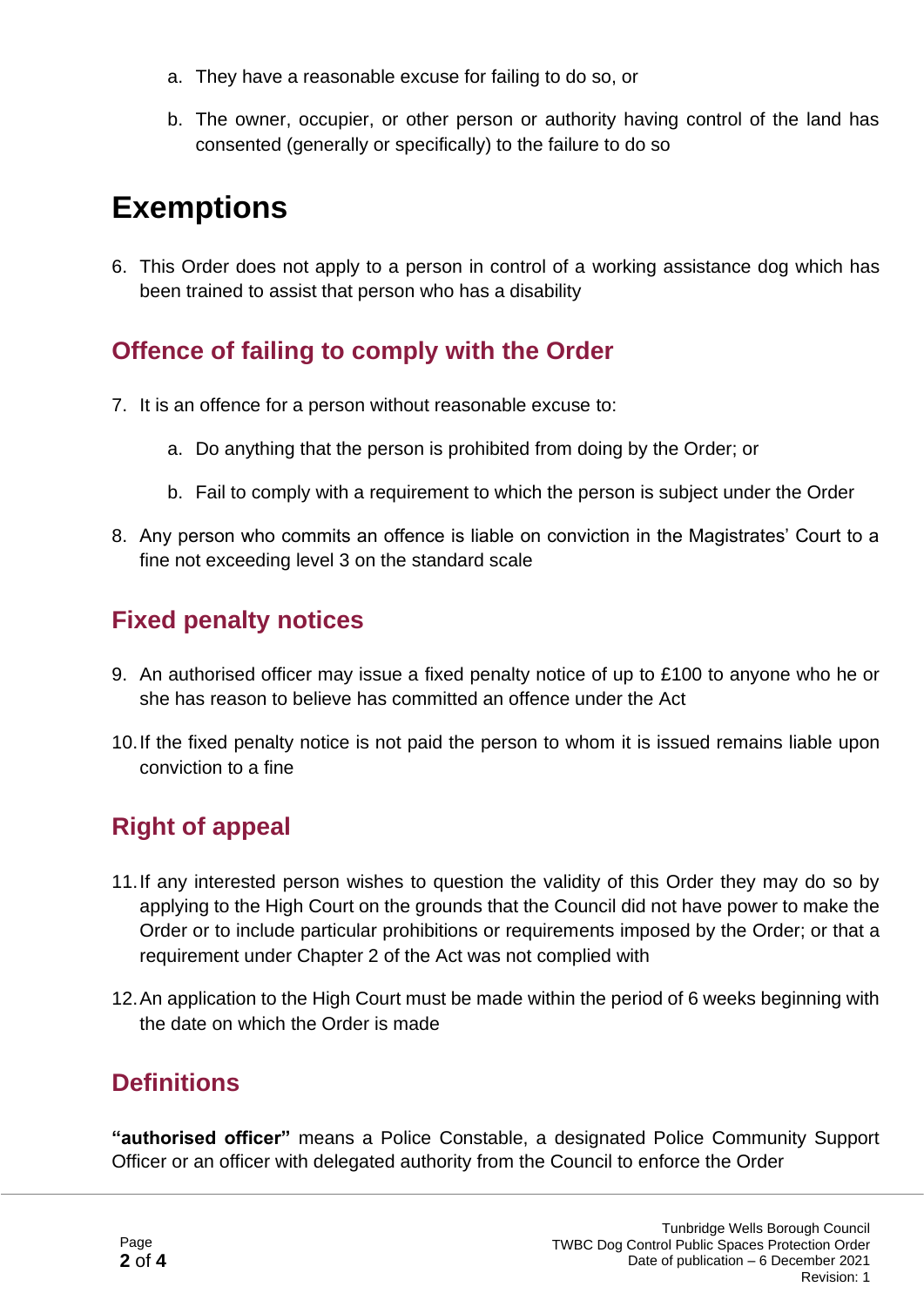- a. They have a reasonable excuse for failing to do so, or
- b. The owner, occupier, or other person or authority having control of the land has consented (generally or specifically) to the failure to do so

### **Exemptions**

6. This Order does not apply to a person in control of a working assistance dog which has been trained to assist that person who has a disability

#### **Offence of failing to comply with the Order**

- 7. It is an offence for a person without reasonable excuse to:
	- a. Do anything that the person is prohibited from doing by the Order; or
	- b. Fail to comply with a requirement to which the person is subject under the Order
- 8. Any person who commits an offence is liable on conviction in the Magistrates' Court to a fine not exceeding level 3 on the standard scale

#### **Fixed penalty notices**

- 9. An authorised officer may issue a fixed penalty notice of up to £100 to anyone who he or she has reason to believe has committed an offence under the Act
- 10.If the fixed penalty notice is not paid the person to whom it is issued remains liable upon conviction to a fine

#### **Right of appeal**

- 11.If any interested person wishes to question the validity of this Order they may do so by applying to the High Court on the grounds that the Council did not have power to make the Order or to include particular prohibitions or requirements imposed by the Order; or that a requirement under Chapter 2 of the Act was not complied with
- 12.An application to the High Court must be made within the period of 6 weeks beginning with the date on which the Order is made

#### **Definitions**

**"authorised officer"** means a Police Constable, a designated Police Community Support Officer or an officer with delegated authority from the Council to enforce the Order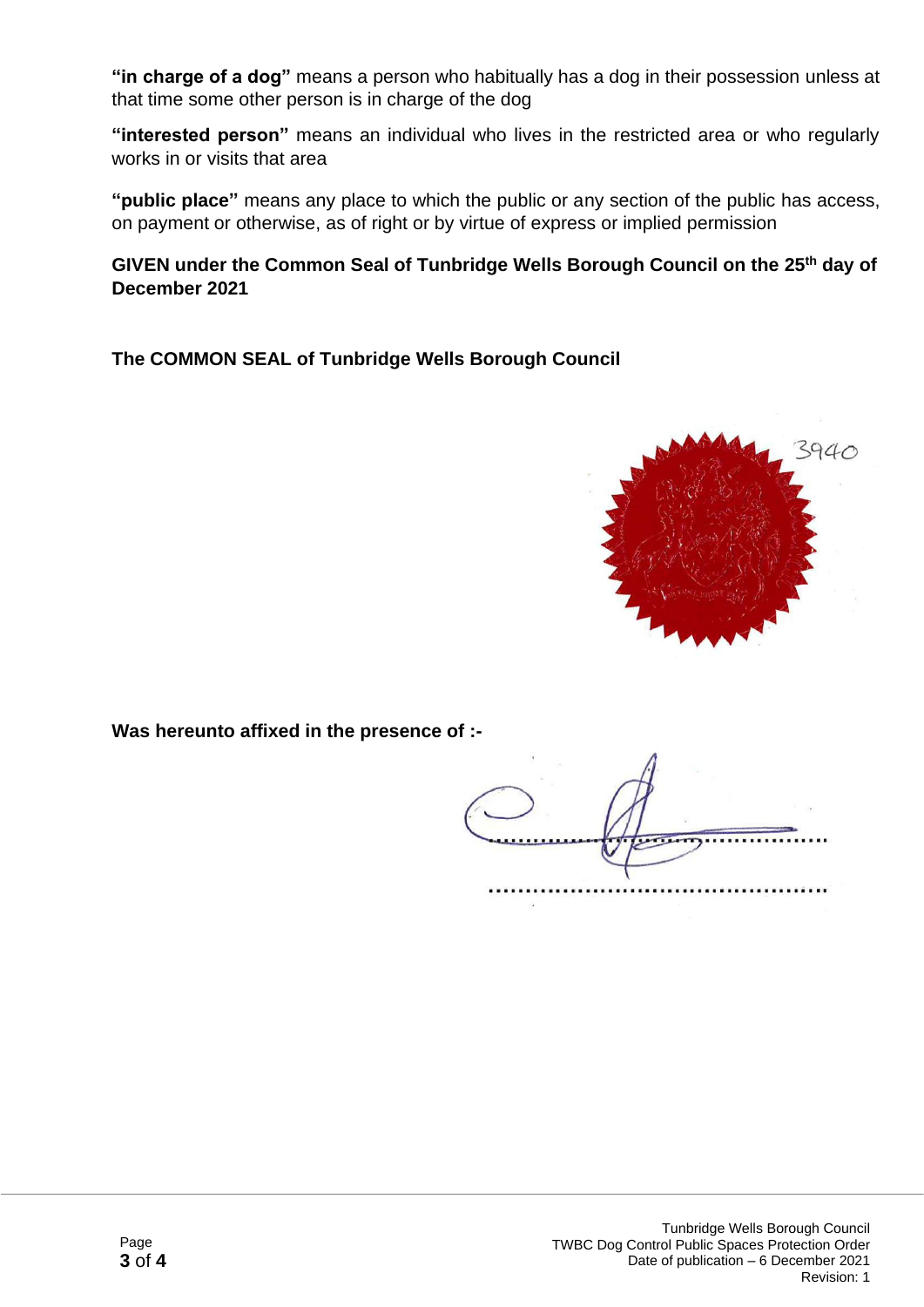**"in charge of a dog"** means a person who habitually has a dog in their possession unless at that time some other person is in charge of the dog

**"interested person"** means an individual who lives in the restricted area or who regularly works in or visits that area

**"public place"** means any place to which the public or any section of the public has access, on payment or otherwise, as of right or by virtue of express or implied permission

**GIVEN under the Common Seal of Tunbridge Wells Borough Council on the 25th day of December 2021**

**The COMMON SEAL of Tunbridge Wells Borough Council**



**Was hereunto affixed in the presence of :-**